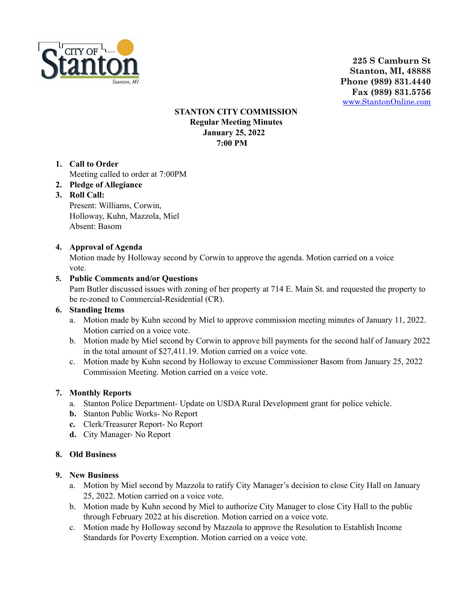

**225 S Camburn St Stanton, MI, 48888 Phone (989) 831.4440 Fax (989) 831.5756** [www.StantonOnline.com](http://www.stantononline.com)

## **STANTON CITY COMMISSION Regular Meeting Minutes January 25, 2022 7:00 PM**

**1. Call to Order**

Meeting called to order at 7:00PM

- **2. Pledge of Allegiance**
- **3. Roll Call:**

Present: Williams, Corwin, Holloway, Kuhn, Mazzola, Miel Absent: Basom

# **4. Approval of Agenda**

Motion made by Holloway second by Corwin to approve the agenda. Motion carried on a voice vote.

## **5. Public Comments and/or Questions**

Pam Butler discussed issues with zoning of her property at 714 E. Main St. and requested the property to be re-zoned to Commercial-Residential (CR).

### **6. Standing Items**

- a. Motion made by Kuhn second by Miel to approve commission meeting minutes of January 11, 2022. Motion carried on a voice vote.
- b. Motion made by Miel second by Corwin to approve bill payments for the second half of January 2022 in the total amount of \$27,411.19. Motion carried on a voice vote.
- c. Motion made by Kuhn second by Holloway to excuse Commissioner Basom from January 25, 2022 Commission Meeting. Motion carried on a voice vote.

#### **7. Monthly Reports**

- a. Stanton Police Department- Update on USDA Rural Development grant for police vehicle.
- **b.** Stanton Public Works- No Report
- **c.** Clerk/Treasurer Report- No Report
- **d.** City Manager- No Report

# **8. Old Business**

#### **9. New Business**

- a. Motion by Miel second by Mazzola to ratify City Manager's decision to close City Hall on January 25, 2022. Motion carried on a voice vote.
- b. Motion made by Kuhn second by Miel to authorize City Manager to close City Hall to the public through February 2022 at his discretion. Motion carried on a voice vote.
- c. Motion made by Holloway second by Mazzola to approve the Resolution to Establish Income Standards for Poverty Exemption. Motion carried on a voice vote.